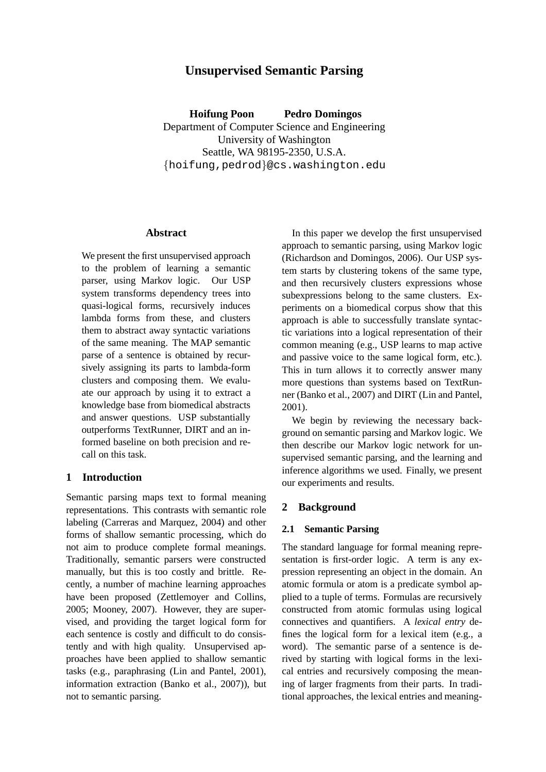# **Unsupervised Semantic Parsing**

**Hoifung Poon Pedro Domingos** Department of Computer Science and Engineering University of Washington Seattle, WA 98195-2350, U.S.A. {hoifung,pedrod}@cs.washington.edu

## **Abstract**

We present the first unsupervised approach to the problem of learning a semantic parser, using Markov logic. Our USP system transforms dependency trees into quasi-logical forms, recursively induces lambda forms from these, and clusters them to abstract away syntactic variations of the same meaning. The MAP semantic parse of a sentence is obtained by recursively assigning its parts to lambda-form clusters and composing them. We evaluate our approach by using it to extract a knowledge base from biomedical abstracts and answer questions. USP substantially outperforms TextRunner, DIRT and an informed baseline on both precision and recall on this task.

## **1 Introduction**

Semantic parsing maps text to formal meaning representations. This contrasts with semantic role labeling (Carreras and Marquez, 2004) and other forms of shallow semantic processing, which do not aim to produce complete formal meanings. Traditionally, semantic parsers were constructed manually, but this is too costly and brittle. Recently, a number of machine learning approaches have been proposed (Zettlemoyer and Collins, 2005; Mooney, 2007). However, they are supervised, and providing the target logical form for each sentence is costly and difficult to do consistently and with high quality. Unsupervised approaches have been applied to shallow semantic tasks (e.g., paraphrasing (Lin and Pantel, 2001), information extraction (Banko et al., 2007)), but not to semantic parsing.

In this paper we develop the first unsupervised approach to semantic parsing, using Markov logic (Richardson and Domingos, 2006). Our USP system starts by clustering tokens of the same type, and then recursively clusters expressions whose subexpressions belong to the same clusters. Experiments on a biomedical corpus show that this approach is able to successfully translate syntactic variations into a logical representation of their common meaning (e.g., USP learns to map active and passive voice to the same logical form, etc.). This in turn allows it to correctly answer many more questions than systems based on TextRunner (Banko et al., 2007) and DIRT (Lin and Pantel, 2001).

We begin by reviewing the necessary background on semantic parsing and Markov logic. We then describe our Markov logic network for unsupervised semantic parsing, and the learning and inference algorithms we used. Finally, we present our experiments and results.

## **2 Background**

## **2.1 Semantic Parsing**

The standard language for formal meaning representation is first-order logic. A term is any expression representing an object in the domain. An atomic formula or atom is a predicate symbol applied to a tuple of terms. Formulas are recursively constructed from atomic formulas using logical connectives and quantifiers. A *lexical entry* defines the logical form for a lexical item (e.g., a word). The semantic parse of a sentence is derived by starting with logical forms in the lexical entries and recursively composing the meaning of larger fragments from their parts. In traditional approaches, the lexical entries and meaning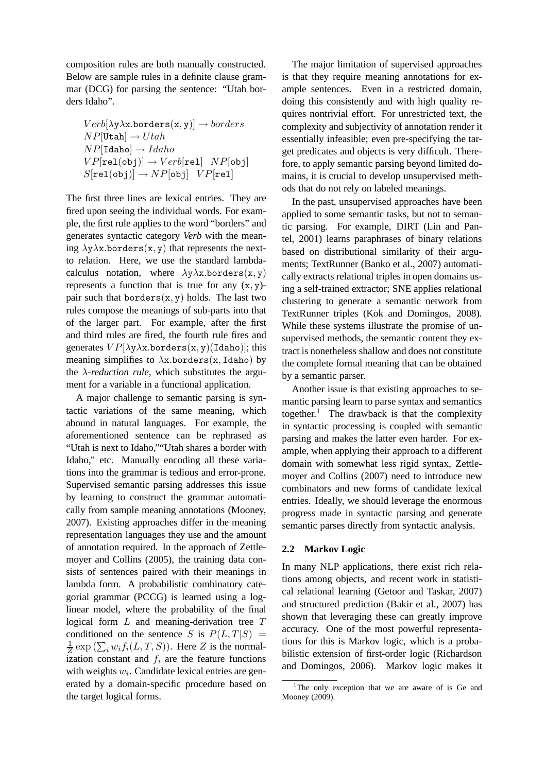composition rules are both manually constructed. Below are sample rules in a definite clause grammar (DCG) for parsing the sentence: "Utah borders Idaho".

$$
Verb[\lambda y \lambda x. borders(x, y)] \rightarrow borders
$$
  
\n
$$
NP[Utah] \rightarrow Utah
$$
  
\n
$$
NP[Idaho] \rightarrow Idaho
$$
  
\n
$$
VP[rel(obj)] \rightarrow Verb[rel] \quad NP[obj]
$$
  
\n
$$
S[rel(obj)] \rightarrow NP[obj] \quad VP[rel]
$$

The first three lines are lexical entries. They are fired upon seeing the individual words. For example, the first rule applies to the word "borders" and generates syntactic category *Verb* with the meaning  $\lambda y \lambda x.$ borders $(x, y)$  that represents the nextto relation. Here, we use the standard lambdacalculus notation, where  $\lambda y \lambda x.$ borders(x, y) represents a function that is true for any  $(x, y)$ pair such that borders $(x, y)$  holds. The last two rules compose the meanings of sub-parts into that of the larger part. For example, after the first and third rules are fired, the fourth rule fires and generates  $VP[\lambda y \lambda x.$ borders $(x, y)$ (Idaho)]; this meaning simplifies to  $\lambda$ x.borders(x, Idaho) by the  $\lambda$ -reduction rule, which substitutes the argument for a variable in a functional application.

A major challenge to semantic parsing is syntactic variations of the same meaning, which abound in natural languages. For example, the aforementioned sentence can be rephrased as "Utah is next to Idaho,""Utah shares a border with Idaho," etc. Manually encoding all these variations into the grammar is tedious and error-prone. Supervised semantic parsing addresses this issue by learning to construct the grammar automatically from sample meaning annotations (Mooney, 2007). Existing approaches differ in the meaning representation languages they use and the amount of annotation required. In the approach of Zettlemoyer and Collins (2005), the training data consists of sentences paired with their meanings in lambda form. A probabilistic combinatory categorial grammar (PCCG) is learned using a loglinear model, where the probability of the final logical form L and meaning-derivation tree T conditioned on the sentence S is  $P(L, T|S)$  = 1  $\frac{1}{Z}$  exp  $(\sum_i w_i f_i(L, T, S))$ . Here Z is the normalization constant and  $f_i$  are the feature functions with weights  $w_i$ . Candidate lexical entries are generated by a domain-specific procedure based on the target logical forms.

The major limitation of supervised approaches is that they require meaning annotations for example sentences. Even in a restricted domain, doing this consistently and with high quality requires nontrivial effort. For unrestricted text, the complexity and subjectivity of annotation render it essentially infeasible; even pre-specifying the target predicates and objects is very difficult. Therefore, to apply semantic parsing beyond limited domains, it is crucial to develop unsupervised methods that do not rely on labeled meanings.

In the past, unsupervised approaches have been applied to some semantic tasks, but not to semantic parsing. For example, DIRT (Lin and Pantel, 2001) learns paraphrases of binary relations based on distributional similarity of their arguments; TextRunner (Banko et al., 2007) automatically extracts relational triples in open domains using a self-trained extractor; SNE applies relational clustering to generate a semantic network from TextRunner triples (Kok and Domingos, 2008). While these systems illustrate the promise of unsupervised methods, the semantic content they extract is nonetheless shallow and does not constitute the complete formal meaning that can be obtained by a semantic parser.

Another issue is that existing approaches to semantic parsing learn to parse syntax and semantics together.<sup>1</sup> The drawback is that the complexity in syntactic processing is coupled with semantic parsing and makes the latter even harder. For example, when applying their approach to a different domain with somewhat less rigid syntax, Zettlemoyer and Collins (2007) need to introduce new combinators and new forms of candidate lexical entries. Ideally, we should leverage the enormous progress made in syntactic parsing and generate semantic parses directly from syntactic analysis.

## **2.2 Markov Logic**

In many NLP applications, there exist rich relations among objects, and recent work in statistical relational learning (Getoor and Taskar, 2007) and structured prediction (Bakir et al., 2007) has shown that leveraging these can greatly improve accuracy. One of the most powerful representations for this is Markov logic, which is a probabilistic extension of first-order logic (Richardson and Domingos, 2006). Markov logic makes it

<sup>&</sup>lt;sup>1</sup>The only exception that we are aware of is Ge and Mooney (2009).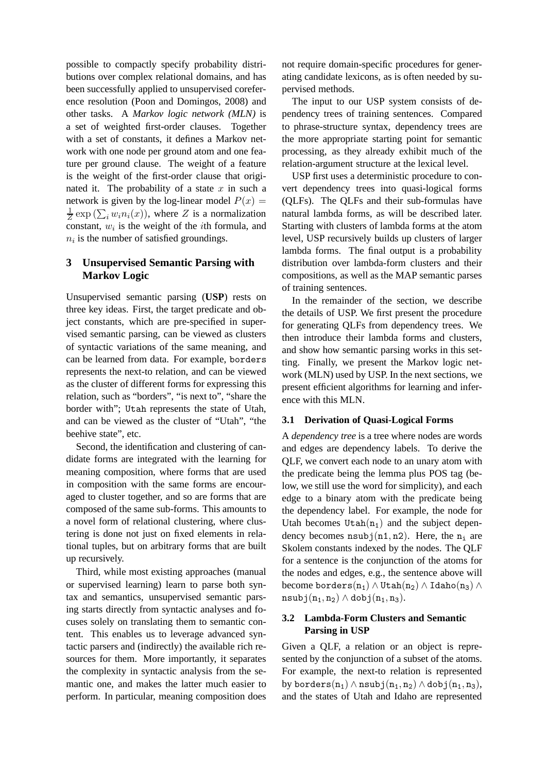possible to compactly specify probability distributions over complex relational domains, and has been successfully applied to unsupervised coreference resolution (Poon and Domingos, 2008) and other tasks. A *Markov logic network (MLN)* is a set of weighted first-order clauses. Together with a set of constants, it defines a Markov network with one node per ground atom and one feature per ground clause. The weight of a feature is the weight of the first-order clause that originated it. The probability of a state  $x$  in such a network is given by the log-linear model  $P(x) =$ 1  $\frac{1}{Z}$  exp  $(\sum_i w_i n_i(x))$ , where Z is a normalization constant,  $w_i$  is the weight of the *i*th formula, and  $n_i$  is the number of satisfied groundings.

## **3 Unsupervised Semantic Parsing with Markov Logic**

Unsupervised semantic parsing (**USP**) rests on three key ideas. First, the target predicate and object constants, which are pre-specified in supervised semantic parsing, can be viewed as clusters of syntactic variations of the same meaning, and can be learned from data. For example, borders represents the next-to relation, and can be viewed as the cluster of different forms for expressing this relation, such as "borders", "is next to", "share the border with"; Utah represents the state of Utah, and can be viewed as the cluster of "Utah", "the beehive state", etc.

Second, the identification and clustering of candidate forms are integrated with the learning for meaning composition, where forms that are used in composition with the same forms are encouraged to cluster together, and so are forms that are composed of the same sub-forms. This amounts to a novel form of relational clustering, where clustering is done not just on fixed elements in relational tuples, but on arbitrary forms that are built up recursively.

Third, while most existing approaches (manual or supervised learning) learn to parse both syntax and semantics, unsupervised semantic parsing starts directly from syntactic analyses and focuses solely on translating them to semantic content. This enables us to leverage advanced syntactic parsers and (indirectly) the available rich resources for them. More importantly, it separates the complexity in syntactic analysis from the semantic one, and makes the latter much easier to perform. In particular, meaning composition does not require domain-specific procedures for generating candidate lexicons, as is often needed by supervised methods.

The input to our USP system consists of dependency trees of training sentences. Compared to phrase-structure syntax, dependency trees are the more appropriate starting point for semantic processing, as they already exhibit much of the relation-argument structure at the lexical level.

USP first uses a deterministic procedure to convert dependency trees into quasi-logical forms (QLFs). The QLFs and their sub-formulas have natural lambda forms, as will be described later. Starting with clusters of lambda forms at the atom level, USP recursively builds up clusters of larger lambda forms. The final output is a probability distribution over lambda-form clusters and their compositions, as well as the MAP semantic parses of training sentences.

In the remainder of the section, we describe the details of USP. We first present the procedure for generating QLFs from dependency trees. We then introduce their lambda forms and clusters, and show how semantic parsing works in this setting. Finally, we present the Markov logic network (MLN) used by USP. In the next sections, we present efficient algorithms for learning and inference with this MLN.

## **3.1 Derivation of Quasi-Logical Forms**

A *dependency tree* is a tree where nodes are words and edges are dependency labels. To derive the QLF, we convert each node to an unary atom with the predicate being the lemma plus POS tag (below, we still use the word for simplicity), and each edge to a binary atom with the predicate being the dependency label. For example, the node for Utah becomes Utah $(n_1)$  and the subject dependency becomes  $n \text{subj}(n1, n2)$ . Here, the  $n_i$  are Skolem constants indexed by the nodes. The QLF for a sentence is the conjunction of the atoms for the nodes and edges, e.g., the sentence above will become borders $(n_1) \wedge$ Utah $(n_2) \wedge$ Idaho $(n_3) \wedge$  $nsubj(n_1, n_2) \wedge dobj(n_1, n_3).$ 

## **3.2 Lambda-Form Clusters and Semantic Parsing in USP**

Given a QLF, a relation or an object is represented by the conjunction of a subset of the atoms. For example, the next-to relation is represented by borders( $n_1$ )  $\land$  nsubj( $n_1, n_2$ )  $\land$  dobj( $n_1, n_3$ ), and the states of Utah and Idaho are represented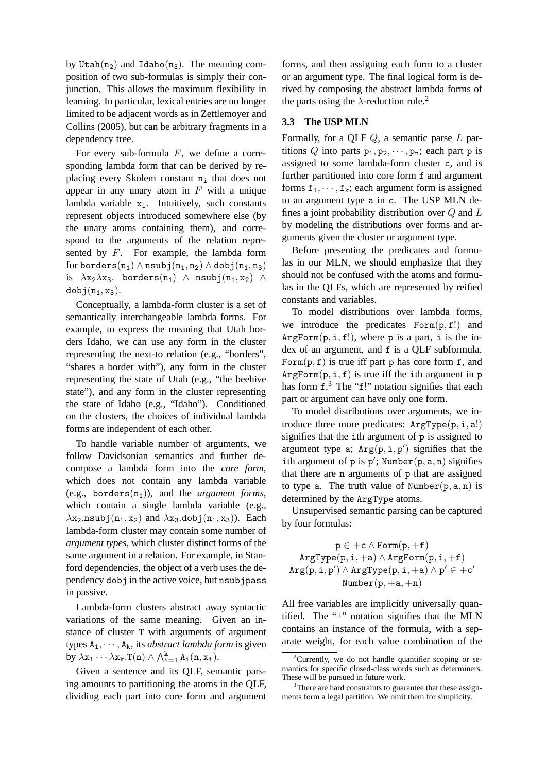by Utah $(n_2)$  and Idaho $(n_3)$ . The meaning composition of two sub-formulas is simply their conjunction. This allows the maximum flexibility in learning. In particular, lexical entries are no longer limited to be adjacent words as in Zettlemoyer and Collins (2005), but can be arbitrary fragments in a dependency tree.

For every sub-formula  $F$ , we define a corresponding lambda form that can be derived by replacing every Skolem constant  $n_i$  that does not appear in any unary atom in  $F$  with a unique lambda variable  $x_i$ . Intuitively, such constants represent objects introduced somewhere else (by the unary atoms containing them), and correspond to the arguments of the relation represented by  $F$ . For example, the lambda form for borders( $n_1$ )  $\land$  nsubj( $n_1, n_2$ )  $\land$  dobj( $n_1, n_3$ ) is  $\lambda x_2 \lambda x_3$ . borders(n<sub>1</sub>)  $\wedge$  nsubj(n<sub>1</sub>, x<sub>2</sub>)  $\wedge$  $dobj(n_1, x_3)$ .

Conceptually, a lambda-form cluster is a set of semantically interchangeable lambda forms. For example, to express the meaning that Utah borders Idaho, we can use any form in the cluster representing the next-to relation (e.g., "borders", "shares a border with"), any form in the cluster representing the state of Utah (e.g., "the beehive state"), and any form in the cluster representing the state of Idaho (e.g., "Idaho"). Conditioned on the clusters, the choices of individual lambda forms are independent of each other.

To handle variable number of arguments, we follow Davidsonian semantics and further decompose a lambda form into the *core form*, which does not contain any lambda variable (e.g., borders $(n_1)$ ), and the *argument forms*, which contain a single lambda variable (e.g.,  $\lambda$ x<sub>2</sub>.nsubj(n<sub>1</sub>, x<sub>2</sub>) and  $\lambda$ x<sub>3</sub>.dobj(n<sub>1</sub>, x<sub>3</sub>)). Each lambda-form cluster may contain some number of *argument types*, which cluster distinct forms of the same argument in a relation. For example, in Stanford dependencies, the object of a verb uses the dependency dobj in the active voice, but nsubjpass in passive.

Lambda-form clusters abstract away syntactic variations of the same meaning. Given an instance of cluster T with arguments of argument types  $A_1, \dots, A_k$ , its *abstract lambda form* is given by  $\lambda x_1 \cdots \lambda x_k$ .  $T(n) \wedge \bigwedge_{i=1}^k A_i(n, x_i)$ .

Given a sentence and its QLF, semantic parsing amounts to partitioning the atoms in the QLF, dividing each part into core form and argument

forms, and then assigning each form to a cluster or an argument type. The final logical form is derived by composing the abstract lambda forms of the parts using the  $\lambda$ -reduction rule.<sup>2</sup>

## **3.3 The USP MLN**

Formally, for a QLF  $Q$ , a semantic parse  $L$  partitions Q into parts  $p_1, p_2, \dots, p_n$ ; each part p is assigned to some lambda-form cluster c, and is further partitioned into core form f and argument forms  $f_1, \dots, f_k$ ; each argument form is assigned to an argument type a in c. The USP MLN defines a joint probability distribution over  $Q$  and  $L$ by modeling the distributions over forms and arguments given the cluster or argument type.

Before presenting the predicates and formulas in our MLN, we should emphasize that they should not be confused with the atoms and formulas in the QLFs, which are represented by reified constants and variables.

To model distributions over lambda forms, we introduce the predicates  $Form(p, f!)$  and  $ArgForm(p, i, f!)$ , where p is a part, i is the index of an argument, and f is a QLF subformula. Form $(p, f)$  is true iff part p has core form f, and  $ArgForm(p, i, f)$  is true iff the ith argument in p has form  $f^3$ . The " $f!$ " notation signifies that each part or argument can have only one form.

To model distributions over arguments, we introduce three more predicates:  $ArgType(p, i, a!)$ signifies that the ith argument of p is assigned to argument type a;  $Arg(p, i, p')$  signifies that the ith argument of p is  $p'$ ; Number(p, a, n) signifies that there are n arguments of p that are assigned to type a. The truth value of Number $(p, a, n)$  is determined by the ArgType atoms.

Unsupervised semantic parsing can be captured by four formulas:

$$
p \in +c \wedge \texttt{Form}(p, +f) \\ \texttt{ArgType}(p, i, +a) \wedge \texttt{ArgForm}(p, i, +f) \\ \texttt{Arg}(p, i, p') \wedge \texttt{ArgType}(p, i, +a) \wedge p' \in +c' \\ \texttt{Number}(p, +a, +n) \\
$$

All free variables are implicitly universally quantified. The "+" notation signifies that the MLN contains an instance of the formula, with a separate weight, for each value combination of the

<sup>&</sup>lt;sup>2</sup>Currently, we do not handle quantifier scoping or semantics for specific closed-class words such as determiners. These will be pursued in future work.

<sup>&</sup>lt;sup>3</sup>There are hard constraints to guarantee that these assignments form a legal partition. We omit them for simplicity.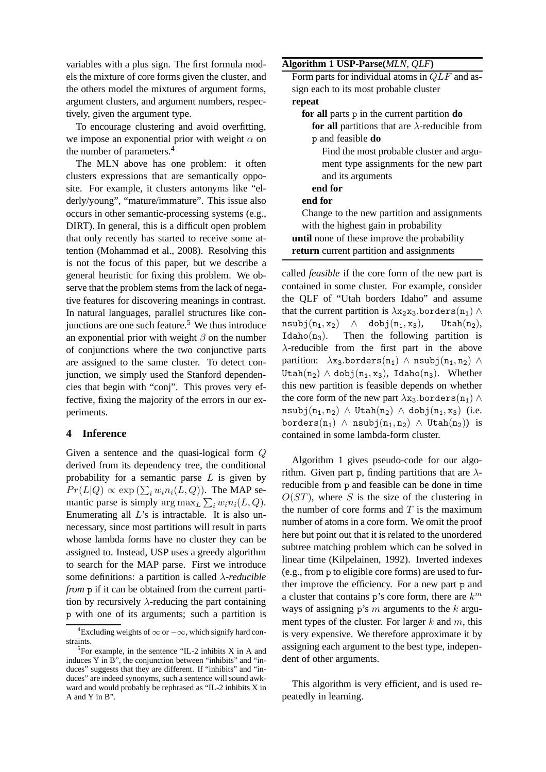variables with a plus sign. The first formula models the mixture of core forms given the cluster, and the others model the mixtures of argument forms, argument clusters, and argument numbers, respectively, given the argument type.

To encourage clustering and avoid overfitting, we impose an exponential prior with weight  $\alpha$  on the number of parameters.<sup>4</sup>

The MLN above has one problem: it often clusters expressions that are semantically opposite. For example, it clusters antonyms like "elderly/young", "mature/immature". This issue also occurs in other semantic-processing systems (e.g., DIRT). In general, this is a difficult open problem that only recently has started to receive some attention (Mohammad et al., 2008). Resolving this is not the focus of this paper, but we describe a general heuristic for fixing this problem. We observe that the problem stems from the lack of negative features for discovering meanings in contrast. In natural languages, parallel structures like conjunctions are one such feature.<sup>5</sup> We thus introduce an exponential prior with weight  $\beta$  on the number of conjunctions where the two conjunctive parts are assigned to the same cluster. To detect conjunction, we simply used the Stanford dependencies that begin with "conj". This proves very effective, fixing the majority of the errors in our experiments.

## **4 Inference**

Given a sentence and the quasi-logical form Q derived from its dependency tree, the conditional probability for a semantic parse  $L$  is given by  $Pr(L|Q) \propto \exp(\sum_i w_i n_i(L,Q))$ . The MAP semantic parse is simply  $\arg \max_{L} \sum_{i} w_i n_i(L, Q)$ . Enumerating all  $L$ 's is intractable. It is also unnecessary, since most partitions will result in parts whose lambda forms have no cluster they can be assigned to. Instead, USP uses a greedy algorithm to search for the MAP parse. First we introduce some definitions: a partition is called λ*-reducible from* p if it can be obtained from the current partition by recursively  $\lambda$ -reducing the part containing p with one of its arguments; such a partition is  $\mathbf{A}$ **Algorithm 1 USD Dense** $(MIN \cap \mathbf{F})$ 

| AIgoriumi I USF-Parse( <i>MLI</i> V, <i>QLF</i> )     |
|-------------------------------------------------------|
| Form parts for individual atoms in $QLF$ and as-      |
| sign each to its most probable cluster                |
| repeat                                                |
| for all parts p in the current partition do           |
| for all partitions that are $\lambda$ -reducible from |
| p and feasible <b>do</b>                              |
| Find the most probable cluster and argu-              |
| ment type assignments for the new part                |
| and its arguments                                     |
| end for                                               |
| end for                                               |
| Change to the new partition and assignments           |
| with the highest gain in probability                  |
| <b>until</b> none of these improve the probability    |
| return current partition and assignments              |

called *feasible* if the core form of the new part is contained in some cluster. For example, consider the QLF of "Utah borders Idaho" and assume that the current partition is  $\lambda$ x<sub>2</sub>x<sub>3</sub>.borders(n<sub>1</sub>) ∧  $nsubj(n_1, x_2)$   $\wedge$  dobj $(n_1, x_3)$ , Utah $(n_2)$ , Idaho( $n_3$ ). Then the following partition is λ-reducible from the first part in the above partition:  $\lambda$ x<sub>3</sub>.borders(n<sub>1</sub>)  $\wedge$  nsubj(n<sub>1</sub>, n<sub>2</sub>)  $\wedge$ Utah $(n_2) \wedge$  dobj $(n_1, x_3)$ , Idaho $(n_3)$ . Whether this new partition is feasible depends on whether the core form of the new part  $\lambda$ x<sub>3</sub>.borders(n<sub>1</sub>) ∧ nsubj $(n_1, n_2) \wedge$  Utah $(n_2) \wedge$  dobj $(n_1, x_3)$  (i.e. borders(n<sub>1</sub>)  $\land$  nsubj(n<sub>1</sub>, n<sub>2</sub>)  $\land$  Utah(n<sub>2</sub>)) is contained in some lambda-form cluster.

Algorithm 1 gives pseudo-code for our algorithm. Given part p, finding partitions that are  $\lambda$ reducible from p and feasible can be done in time  $O(ST)$ , where S is the size of the clustering in the number of core forms and  $T$  is the maximum number of atoms in a core form. We omit the proof here but point out that it is related to the unordered subtree matching problem which can be solved in linear time (Kilpelainen, 1992). Inverted indexes (e.g., from p to eligible core forms) are used to further improve the efficiency. For a new part p and a cluster that contains  $p$ 's core form, there are  $k^m$ ways of assigning p's  $m$  arguments to the  $k$  argument types of the cluster. For larger  $k$  and  $m$ , this is very expensive. We therefore approximate it by assigning each argument to the best type, independent of other arguments.

This algorithm is very efficient, and is used repeatedly in learning.

<sup>&</sup>lt;sup>4</sup>Excluding weights of  $\infty$  or  $-\infty$ , which signify hard constraints.

 ${}^{5}$ For example, in the sentence "IL-2 inhibits X in A and induces Y in B", the conjunction between "inhibits" and "induces" suggests that they are different. If "inhibits" and "induces" are indeed synonyms, such a sentence will sound awkward and would probably be rephrased as "IL-2 inhibits X in A and Y in B".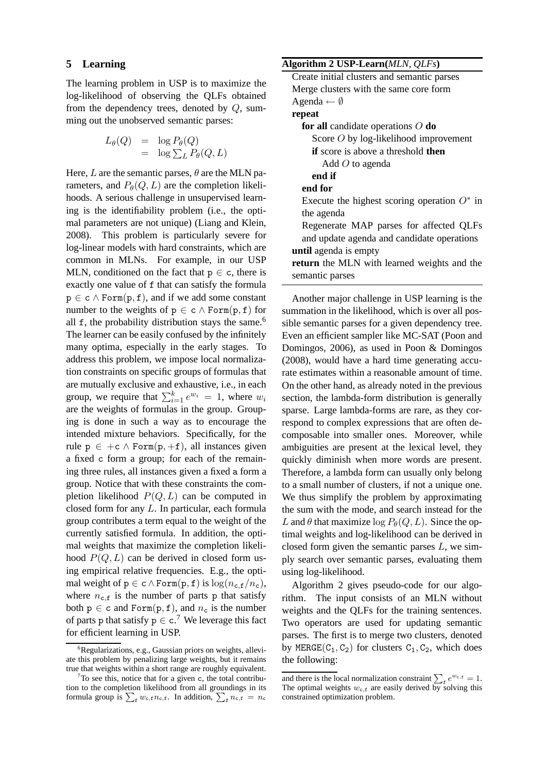#### **5 Learning**

The learning problem in USP is to maximize the log-likelihood of observing the QLFs obtained from the dependency trees, denoted by  $Q$ , summing out the unobserved semantic parses:

$$
L_{\theta}(Q) = \log P_{\theta}(Q)
$$
  
=  $\log \sum_{L} P_{\theta}(Q, L)$ 

Here, L are the semantic parses,  $\theta$  are the MLN parameters, and  $P_{\theta}(Q, L)$  are the completion likelihoods. A serious challenge in unsupervised learning is the identifiability problem (i.e., the optimal parameters are not unique) (Liang and Klein, 2008). This problem is particularly severe for log-linear models with hard constraints, which are common in MLNs. For example, in our USP MLN, conditioned on the fact that  $p \in c$ , there is exactly one value of f that can satisfy the formula  $p \in c \wedge \text{Form}(p, f)$ , and if we add some constant number to the weights of  $p \in c \wedge Form(p, f)$  for all  $f$ , the probability distribution stays the same.<sup>6</sup> The learner can be easily confused by the infinitely many optima, especially in the early stages. To address this problem, we impose local normalization constraints on specific groups of formulas that are mutually exclusive and exhaustive, i.e., in each group, we require that  $\sum_{i=1}^{k} e^{w_i} = 1$ , where  $w_i$ are the weights of formulas in the group. Grouping is done in such a way as to encourage the intended mixture behaviors. Specifically, for the rule  $p \in +c \wedge \text{Form}(p, +f)$ , all instances given a fixed c form a group; for each of the remaining three rules, all instances given a fixed a form a group. Notice that with these constraints the completion likelihood  $P(Q, L)$  can be computed in closed form for any L. In particular, each formula group contributes a term equal to the weight of the currently satisfied formula. In addition, the optimal weights that maximize the completion likelihood  $P(Q, L)$  can be derived in closed form using empirical relative frequencies. E.g., the optimal weight of  $p \in c \wedge \text{Form}(p, f)$  is  $\log(n_{c,f}/n_c)$ , where  $n_{c,f}$  is the number of parts p that satisfy both  $p \in c$  and Form $(p, f)$ , and  $n_c$  is the number of parts p that satisfy  $p \in c$ .<sup>7</sup> We leverage this fact for efficient learning in USP.

## **Algorithm 2 USP-Learn(***MLN, QLFs***)**

| $S^{02}_{02}$                                    |
|--------------------------------------------------|
| Create initial clusters and semantic parses      |
| Merge clusters with the same core form           |
| Agenda $\leftarrow \emptyset$                    |
| repeat                                           |
| for all candidate operations $O$ do              |
| Score $O$ by log-likelihood improvement          |
| <b>if</b> score is above a threshold <b>then</b> |
| Add $O$ to agenda                                |
| end if                                           |
| end for                                          |
| Execute the highest scoring operation $O^*$ in   |
| the agenda                                       |
| Regenerate MAP parses for affected QLFs          |
| and update agenda and candidate operations       |
| <b>until</b> agenda is empty                     |
| return the MLN with learned weights and the      |
| semantic parses                                  |
|                                                  |

Another major challenge in USP learning is the summation in the likelihood, which is over all possible semantic parses for a given dependency tree. Even an efficient sampler like MC-SAT (Poon and Domingos, 2006), as used in Poon & Domingos (2008), would have a hard time generating accurate estimates within a reasonable amount of time. On the other hand, as already noted in the previous section, the lambda-form distribution is generally sparse. Large lambda-forms are rare, as they correspond to complex expressions that are often decomposable into smaller ones. Moreover, while ambiguities are present at the lexical level, they quickly diminish when more words are present. Therefore, a lambda form can usually only belong to a small number of clusters, if not a unique one. We thus simplify the problem by approximating the sum with the mode, and search instead for the L and  $\theta$  that maximize  $\log P_{\theta}(Q, L)$ . Since the optimal weights and log-likelihood can be derived in closed form given the semantic parses  $L$ , we simply search over semantic parses, evaluating them using log-likelihood.

Algorithm 2 gives pseudo-code for our algorithm. The input consists of an MLN without weights and the QLFs for the training sentences. Two operators are used for updating semantic parses. The first is to merge two clusters, denoted by MERGE( $C_1, C_2$ ) for clusters  $C_1, C_2$ , which does the following:

 ${}^{6}$ Regularizations, e.g., Gaussian priors on weights, alleviate this problem by penalizing large weights, but it remains true that weights within a short range are roughly equivalent.

 $7$ To see this, notice that for a given c, the total contribution to the completion likelihood from all groundings in its formula group is  $\sum_{\mathbf{f}} w_{\mathbf{c},\mathbf{f}} n_{\mathbf{c},\mathbf{f}}$ . In addition,  $\sum_{\mathbf{f}} n_{\mathbf{c},\mathbf{f}} = n_{\mathbf{c}}$ 

and there is the local normalization constraint  $\sum_{f} e^{w_{c,f}} = 1$ . The optimal weights  $w_{c,f}$  are easily derived by solving this constrained optimization problem.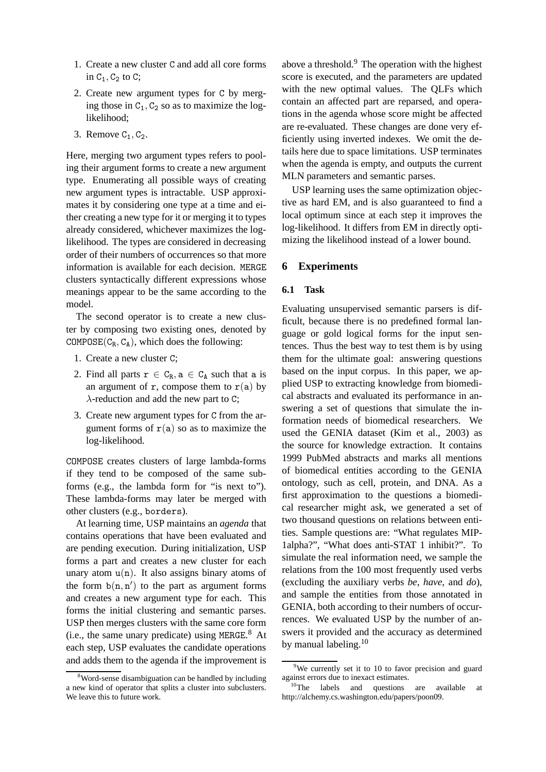- 1. Create a new cluster C and add all core forms in  $C_1$ ,  $C_2$  to  $C$ ;
- 2. Create new argument types for C by merging those in  $C_1$ ,  $C_2$  so as to maximize the loglikelihood;
- 3. Remove  $C_1$ ,  $C_2$ .

Here, merging two argument types refers to pooling their argument forms to create a new argument type. Enumerating all possible ways of creating new argument types is intractable. USP approximates it by considering one type at a time and either creating a new type for it or merging it to types already considered, whichever maximizes the loglikelihood. The types are considered in decreasing order of their numbers of occurrences so that more information is available for each decision. MERGE clusters syntactically different expressions whose meanings appear to be the same according to the model.

The second operator is to create a new cluster by composing two existing ones, denoted by COMPOSE( $C_R$ ,  $C_A$ ), which does the following:

- 1. Create a new cluster C;
- 2. Find all parts  $r \in C_R$ ,  $a \in C_A$  such that a is an argument of r, compose them to  $r(a)$  by  $\lambda$ -reduction and add the new part to C:
- 3. Create new argument types for C from the argument forms of  $r(a)$  so as to maximize the log-likelihood.

COMPOSE creates clusters of large lambda-forms if they tend to be composed of the same subforms (e.g., the lambda form for "is next to"). These lambda-forms may later be merged with other clusters (e.g., borders).

At learning time, USP maintains an *agenda* that contains operations that have been evaluated and are pending execution. During initialization, USP forms a part and creates a new cluster for each unary atom  $u(n)$ . It also assigns binary atoms of the form  $b(n, n')$  to the part as argument forms and creates a new argument type for each. This forms the initial clustering and semantic parses. USP then merges clusters with the same core form  $(i.e., the same unary predicate) using MERGE.<sup>8</sup> At$ each step, USP evaluates the candidate operations and adds them to the agenda if the improvement is above a threshold. $9$  The operation with the highest score is executed, and the parameters are updated with the new optimal values. The QLFs which contain an affected part are reparsed, and operations in the agenda whose score might be affected are re-evaluated. These changes are done very efficiently using inverted indexes. We omit the details here due to space limitations. USP terminates when the agenda is empty, and outputs the current MLN parameters and semantic parses.

USP learning uses the same optimization objective as hard EM, and is also guaranteed to find a local optimum since at each step it improves the log-likelihood. It differs from EM in directly optimizing the likelihood instead of a lower bound.

## **6 Experiments**

#### **6.1 Task**

Evaluating unsupervised semantic parsers is difficult, because there is no predefined formal language or gold logical forms for the input sentences. Thus the best way to test them is by using them for the ultimate goal: answering questions based on the input corpus. In this paper, we applied USP to extracting knowledge from biomedical abstracts and evaluated its performance in answering a set of questions that simulate the information needs of biomedical researchers. We used the GENIA dataset (Kim et al., 2003) as the source for knowledge extraction. It contains 1999 PubMed abstracts and marks all mentions of biomedical entities according to the GENIA ontology, such as cell, protein, and DNA. As a first approximation to the questions a biomedical researcher might ask, we generated a set of two thousand questions on relations between entities. Sample questions are: "What regulates MIP-1alpha?", "What does anti-STAT 1 inhibit?". To simulate the real information need, we sample the relations from the 100 most frequently used verbs (excluding the auxiliary verbs *be*, *have*, and *do*), and sample the entities from those annotated in GENIA, both according to their numbers of occurrences. We evaluated USP by the number of answers it provided and the accuracy as determined by manual labeling.<sup>10</sup>

<sup>&</sup>lt;sup>8</sup>Word-sense disambiguation can be handled by including a new kind of operator that splits a cluster into subclusters. We leave this to future work.

 $9$ We currently set it to 10 to favor precision and guard against errors due to inexact estimates.

 $10$ The labels and questions are available at http://alchemy.cs.washington.edu/papers/poon09.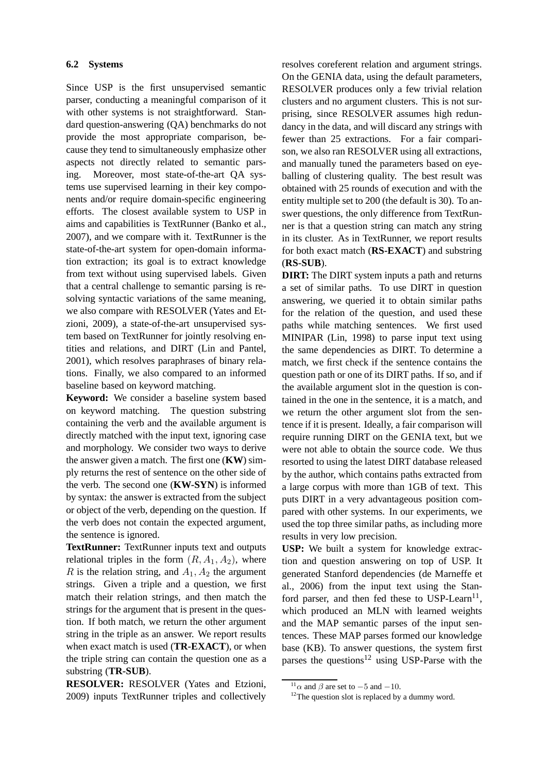## **6.2 Systems**

Since USP is the first unsupervised semantic parser, conducting a meaningful comparison of it with other systems is not straightforward. Standard question-answering (QA) benchmarks do not provide the most appropriate comparison, because they tend to simultaneously emphasize other aspects not directly related to semantic parsing. Moreover, most state-of-the-art QA systems use supervised learning in their key components and/or require domain-specific engineering efforts. The closest available system to USP in aims and capabilities is TextRunner (Banko et al., 2007), and we compare with it. TextRunner is the state-of-the-art system for open-domain information extraction; its goal is to extract knowledge from text without using supervised labels. Given that a central challenge to semantic parsing is resolving syntactic variations of the same meaning, we also compare with RESOLVER (Yates and Etzioni, 2009), a state-of-the-art unsupervised system based on TextRunner for jointly resolving entities and relations, and DIRT (Lin and Pantel, 2001), which resolves paraphrases of binary relations. Finally, we also compared to an informed baseline based on keyword matching.

**Keyword:** We consider a baseline system based on keyword matching. The question substring containing the verb and the available argument is directly matched with the input text, ignoring case and morphology. We consider two ways to derive the answer given a match. The first one (**KW**) simply returns the rest of sentence on the other side of the verb. The second one (**KW-SYN**) is informed by syntax: the answer is extracted from the subject or object of the verb, depending on the question. If the verb does not contain the expected argument, the sentence is ignored.

**TextRunner:** TextRunner inputs text and outputs relational triples in the form  $(R, A_1, A_2)$ , where R is the relation string, and  $A_1$ ,  $A_2$  the argument strings. Given a triple and a question, we first match their relation strings, and then match the strings for the argument that is present in the question. If both match, we return the other argument string in the triple as an answer. We report results when exact match is used (**TR-EXACT**), or when the triple string can contain the question one as a substring (**TR-SUB**).

**RESOLVER:** RESOLVER (Yates and Etzioni, 2009) inputs TextRunner triples and collectively resolves coreferent relation and argument strings. On the GENIA data, using the default parameters, RESOLVER produces only a few trivial relation clusters and no argument clusters. This is not surprising, since RESOLVER assumes high redundancy in the data, and will discard any strings with fewer than 25 extractions. For a fair comparison, we also ran RESOLVER using all extractions, and manually tuned the parameters based on eyeballing of clustering quality. The best result was obtained with 25 rounds of execution and with the entity multiple set to 200 (the default is 30). To answer questions, the only difference from TextRunner is that a question string can match any string in its cluster. As in TextRunner, we report results for both exact match (**RS-EXACT**) and substring (**RS-SUB**).

**DIRT:** The DIRT system inputs a path and returns a set of similar paths. To use DIRT in question answering, we queried it to obtain similar paths for the relation of the question, and used these paths while matching sentences. We first used MINIPAR (Lin, 1998) to parse input text using the same dependencies as DIRT. To determine a match, we first check if the sentence contains the question path or one of its DIRT paths. If so, and if the available argument slot in the question is contained in the one in the sentence, it is a match, and we return the other argument slot from the sentence if it is present. Ideally, a fair comparison will require running DIRT on the GENIA text, but we were not able to obtain the source code. We thus resorted to using the latest DIRT database released by the author, which contains paths extracted from a large corpus with more than 1GB of text. This puts DIRT in a very advantageous position compared with other systems. In our experiments, we used the top three similar paths, as including more results in very low precision.

**USP:** We built a system for knowledge extraction and question answering on top of USP. It generated Stanford dependencies (de Marneffe et al., 2006) from the input text using the Stanford parser, and then fed these to USP-Learn $^{11}$ , which produced an MLN with learned weights and the MAP semantic parses of the input sentences. These MAP parses formed our knowledge base (KB). To answer questions, the system first parses the questions<sup>12</sup> using USP-Parse with the

 $11\alpha$  and  $\beta$  are set to  $-5$  and  $-10$ .

 $12$ The question slot is replaced by a dummy word.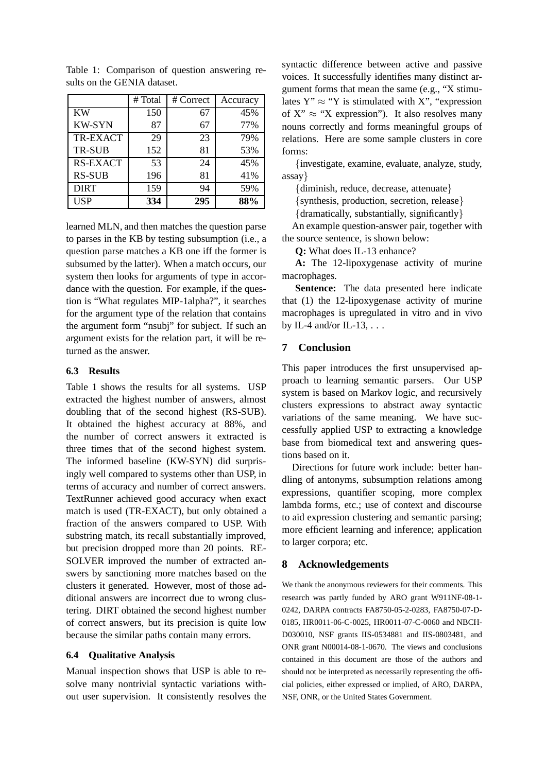|                 | # Total | # Correct | Accuracy |
|-----------------|---------|-----------|----------|
| <b>KW</b>       | 150     | 67        | 45%      |
| <b>KW-SYN</b>   | 87      | 67        | 77%      |
| TR-EXACT        | 29      | 23        | 79%      |
| TR-SUB          | 152     | 81        | 53%      |
| <b>RS-EXACT</b> | 53      | 24        | 45%      |
| <b>RS-SUB</b>   | 196     | 81        | 41%      |
| <b>DIRT</b>     | 159     | 94        | 59%      |
| <b>USP</b>      | 334     | 295       | 88%      |

Table 1: Comparison of question answering results on the GENIA dataset.

learned MLN, and then matches the question parse to parses in the KB by testing subsumption (i.e., a question parse matches a KB one iff the former is subsumed by the latter). When a match occurs, our system then looks for arguments of type in accordance with the question. For example, if the question is "What regulates MIP-1alpha?", it searches for the argument type of the relation that contains the argument form "nsubj" for subject. If such an argument exists for the relation part, it will be returned as the answer.

## **6.3 Results**

Table 1 shows the results for all systems. USP extracted the highest number of answers, almost doubling that of the second highest (RS-SUB). It obtained the highest accuracy at 88%, and the number of correct answers it extracted is three times that of the second highest system. The informed baseline (KW-SYN) did surprisingly well compared to systems other than USP, in terms of accuracy and number of correct answers. TextRunner achieved good accuracy when exact match is used (TR-EXACT), but only obtained a fraction of the answers compared to USP. With substring match, its recall substantially improved, but precision dropped more than 20 points. RE-SOLVER improved the number of extracted answers by sanctioning more matches based on the clusters it generated. However, most of those additional answers are incorrect due to wrong clustering. DIRT obtained the second highest number of correct answers, but its precision is quite low because the similar paths contain many errors.

#### **6.4 Qualitative Analysis**

Manual inspection shows that USP is able to resolve many nontrivial syntactic variations without user supervision. It consistently resolves the syntactic difference between active and passive voices. It successfully identifies many distinct argument forms that mean the same (e.g., "X stimulates  $Y'' \approx "Y$  is stimulated with X", "expression of  $X'' \approx "X$  expression"). It also resolves many nouns correctly and forms meaningful groups of relations. Here are some sample clusters in core forms:

{investigate, examine, evaluate, analyze, study, assay}

{diminish, reduce, decrease, attenuate}

{synthesis, production, secretion, release}

{dramatically, substantially, significantly}

An example question-answer pair, together with the source sentence, is shown below:

**Q:** What does IL-13 enhance?

**A:** The 12-lipoxygenase activity of murine macrophages.

**Sentence:** The data presented here indicate that (1) the 12-lipoxygenase activity of murine macrophages is upregulated in vitro and in vivo by IL-4 and/or IL-13,  $\ldots$ 

## **7 Conclusion**

This paper introduces the first unsupervised approach to learning semantic parsers. Our USP system is based on Markov logic, and recursively clusters expressions to abstract away syntactic variations of the same meaning. We have successfully applied USP to extracting a knowledge base from biomedical text and answering questions based on it.

Directions for future work include: better handling of antonyms, subsumption relations among expressions, quantifier scoping, more complex lambda forms, etc.; use of context and discourse to aid expression clustering and semantic parsing; more efficient learning and inference; application to larger corpora; etc.

#### **8 Acknowledgements**

We thank the anonymous reviewers for their comments. This research was partly funded by ARO grant W911NF-08-1- 0242, DARPA contracts FA8750-05-2-0283, FA8750-07-D-0185, HR0011-06-C-0025, HR0011-07-C-0060 and NBCH-D030010, NSF grants IIS-0534881 and IIS-0803481, and ONR grant N00014-08-1-0670. The views and conclusions contained in this document are those of the authors and should not be interpreted as necessarily representing the official policies, either expressed or implied, of ARO, DARPA, NSF, ONR, or the United States Government.